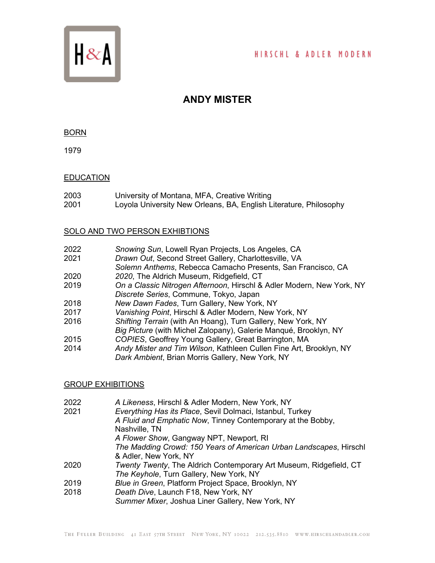

# HIRSCHL & ADLER MODERN

# **ANDY MISTER**

### BORN

1979

## **EDUCATION**

- 2003 University of Montana, MFA, Creative Writing
- 2001 Loyola University New Orleans, BA, English Literature, Philosophy

## SOLO AND TWO PERSON EXHIBTIONS

- 2022 *Snowing Sun*, Lowell Ryan Projects, Los Angeles, CA
- **Drawn Out, Second Street Gallery, Charlottesville, VA**
- *Solemn Anthems*, Rebecca Camacho Presents, San Francisco, CA
- 2020 *2020*, The Aldrich Museum, Ridgefield, CT
- 2019 *On a Classic Nitrogen Afternoon*, Hirschl & Adler Modern, New York, NY *Discrete Series*, Commune, Tokyo, Japan
- 2018 *New Dawn Fades*, Turn Gallery, New York, NY
- 2017 *Vanishing Point*, Hirschl & Adler Modern, New York, NY
- 2016 *Shifting Terrain* (with An Hoang), Turn Gallery, New York, NY
- *Big Picture* (with Michel Zalopany), Galerie Manqué, Brooklyn, NY
- 2015 *COPIES*, Geoffrey Young Gallery, Great Barrington, MA
- 2014 *Andy Mister and Tim Wilson*, Kathleen Cullen Fine Art, Brooklyn, NY *Dark Ambient*, Brian Morris Gallery, New York, NY

# GROUP EXHIBITIONS

- 2022 *A Likeness*, Hirschl & Adler Modern, New York, NY
- 2021 *Everything Has its Place*, Sevil Dolmaci, Istanbul, Turkey *A Fluid and Emphatic Now*, Tinney Contemporary at the Bobby, Nashville, TN *A Flower Show*, Gangway NPT, Newport, RI *The Madding Crowd: 150 Years of American Urban Landscapes*, Hirschl & Adler, New York, NY 2020 *Twenty Twenty*, The Aldrich Contemporary Art Museum, Ridgefield, CT *The Keyhole*, Turn Gallery, New York, NY 2019 *Blue in Green*, Platform Project Space, Brooklyn, NY Death Dive, Launch F18, New York, NY *Summer Mixer*, Joshua Liner Gallery, New York, NY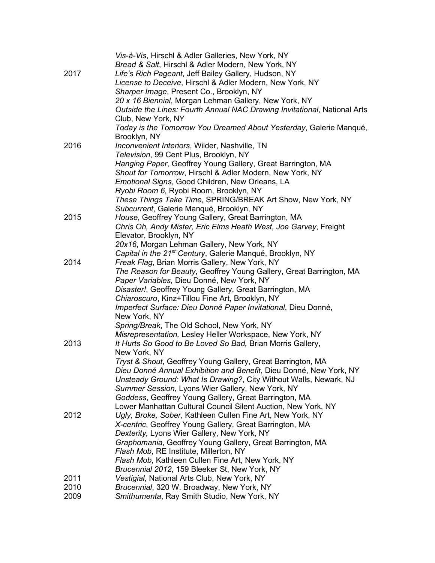|      | Vis-à-Vis, Hirschl & Adler Galleries, New York, NY                       |
|------|--------------------------------------------------------------------------|
|      | Bread & Salt, Hirschl & Adler Modern, New York, NY                       |
| 2017 | Life's Rich Pageant, Jeff Bailey Gallery, Hudson, NY                     |
|      | License to Deceive, Hirschl & Adler Modern, New York, NY                 |
|      | Sharper Image, Present Co., Brooklyn, NY                                 |
|      | 20 x 16 Biennial, Morgan Lehman Gallery, New York, NY                    |
|      | Outside the Lines: Fourth Annual NAC Drawing Invitational, National Arts |
|      | Club, New York, NY                                                       |
|      | Today is the Tomorrow You Dreamed About Yesterday, Galerie Manqué,       |
|      | Brooklyn, NY                                                             |
| 2016 | Inconvenient Interiors, Wilder, Nashville, TN                            |
|      | Television, 99 Cent Plus, Brooklyn, NY                                   |
|      | Hanging Paper, Geoffrey Young Gallery, Great Barrington, MA              |
|      | Shout for Tomorrow, Hirschl & Adler Modern, New York, NY                 |
|      | Emotional Signs, Good Children, New Orleans, LA                          |
|      | Ryobi Room 6, Ryobi Room, Brooklyn, NY                                   |
|      | These Things Take Time, SPRING/BREAK Art Show, New York, NY              |
|      | Subcurrent, Galerie Manqué, Brooklyn, NY                                 |
| 2015 | House, Geoffrey Young Gallery, Great Barrington, MA                      |
|      | Chris Oh, Andy Mister, Eric Elms Heath West, Joe Garvey, Freight         |
|      | Elevator, Brooklyn, NY                                                   |
|      | 20x16, Morgan Lehman Gallery, New York, NY                               |
|      | Capital in the 21 <sup>st</sup> Century, Galerie Manqué, Brooklyn, NY    |
| 2014 | Freak Flag, Brian Morris Gallery, New York, NY                           |
|      | The Reason for Beauty, Geoffrey Young Gallery, Great Barrington, MA      |
|      | Paper Variables, Dieu Donné, New York, NY                                |
|      | Disaster!, Geoffrey Young Gallery, Great Barrington, MA                  |
|      | Chiaroscuro, Kinz+Tillou Fine Art, Brooklyn, NY                          |
|      | Imperfect Surface: Dieu Donné Paper Invitational, Dieu Donné,            |
|      | New York, NY                                                             |
|      | Spring/Break, The Old School, New York, NY                               |
|      | Misrepresentation, Lesley Heller Workspace, New York, NY                 |
| 2013 | It Hurts So Good to Be Loved So Bad, Brian Morris Gallery,               |
|      | New York, NY                                                             |
|      | Tryst & Shout, Geoffrey Young Gallery, Great Barrington, MA              |
|      | Dieu Donné Annual Exhibition and Benefit, Dieu Donné, New York, NY       |
|      | Unsteady Ground: What Is Drawing?, City Without Walls, Newark, NJ        |
|      | Summer Session, Lyons Wier Gallery, New York, NY                         |
|      | Goddess, Geoffrey Young Gallery, Great Barrington, MA                    |
|      | Lower Manhattan Cultural Council Silent Auction, New York, NY            |
| 2012 | Ugly, Broke, Sober, Kathleen Cullen Fine Art, New York, NY               |
|      | X-centric, Geoffrey Young Gallery, Great Barrington, MA                  |
|      | Dexterity, Lyons Wier Gallery, New York, NY                              |
|      | Graphomania, Geoffrey Young Gallery, Great Barrington, MA                |
|      | Flash Mob, RE Institute, Millerton, NY                                   |
|      | Flash Mob, Kathleen Cullen Fine Art, New York, NY                        |
|      | Brucennial 2012, 159 Bleeker St, New York, NY                            |
| 2011 | Vestigial, National Arts Club, New York, NY                              |
| 2010 | Brucennial, 320 W. Broadway, New York, NY                                |
| 2009 | Smithumenta, Ray Smith Studio, New York, NY                              |